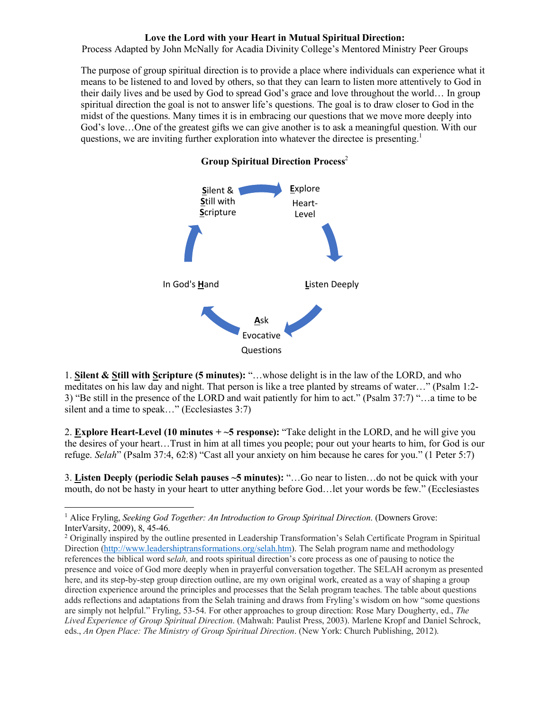## **Love the Lord with your Heart in Mutual Spiritual Direction:**

Process Adapted by John McNally for Acadia Divinity College's Mentored Ministry Peer Groups

The purpose of group spiritual direction is to provide a place where individuals can experience what it means to be listened to and loved by others, so that they can learn to listen more attentively to God in their daily lives and be used by God to spread God's grace and love throughout the world… In group spiritual direction the goal is not to answer life's questions. The goal is to draw closer to God in the midst of the questions. Many times it is in embracing our questions that we move more deeply into God's love…One of the greatest gifts we can give another is to ask a meaningful question. With our questions, we are inviting further exploration into whatever the directee is presenting.<sup>1</sup>

## **Group Spiritual Direction Process**<sup>2</sup>



1. **Silent & Still with Scripture (5 minutes):** "…whose delight is in the law of the LORD, and who meditates on his law day and night. That person is like a tree planted by streams of water…" (Psalm 1:2- 3) "Be still in the presence of the LORD and wait patiently for him to act." (Psalm 37:7) "…a time to be silent and a time to speak..." (Ecclesiastes 3:7)

2. **Explore Heart-Level (10 minutes + ~5 response):** "Take delight in the LORD, and he will give you the desires of your heart…Trust in him at all times you people; pour out your hearts to him, for God is our refuge. *Selah*" (Psalm 37:4, 62:8) "Cast all your anxiety on him because he cares for you." (1 Peter 5:7)

3. **Listen Deeply (periodic Selah pauses ~5 minutes):** "…Go near to listen…do not be quick with your mouth, do not be hasty in your heart to utter anything before God…let your words be few." (Ecclesiastes

l

<sup>1</sup> Alice Fryling, *Seeking God Together: An Introduction to Group Spiritual Direction*. (Downers Grove: InterVarsity, 2009), 8, 45-46. 2 Originally inspired by the outline presented in Leadership Transformation's Selah Certificate Program in Spiritual

Direction (http://www.leadershiptransformations.org/selah.htm). The Selah program name and methodology references the biblical word s*elah,* and roots spiritual direction's core process as one of pausing to notice the presence and voice of God more deeply when in prayerful conversation together. The SELAH acronym as presented here, and its step-by-step group direction outline, are my own original work, created as a way of shaping a group direction experience around the principles and processes that the Selah program teaches. The table about questions adds reflections and adaptations from the Selah training and draws from Fryling's wisdom on how "some questions are simply not helpful." Fryling, 53-54. For other approaches to group direction: Rose Mary Dougherty, ed., *The Lived Experience of Group Spiritual Direction*. (Mahwah: Paulist Press, 2003). Marlene Kropf and Daniel Schrock, eds., *An Open Place: The Ministry of Group Spiritual Direction*. (New York: Church Publishing, 2012).